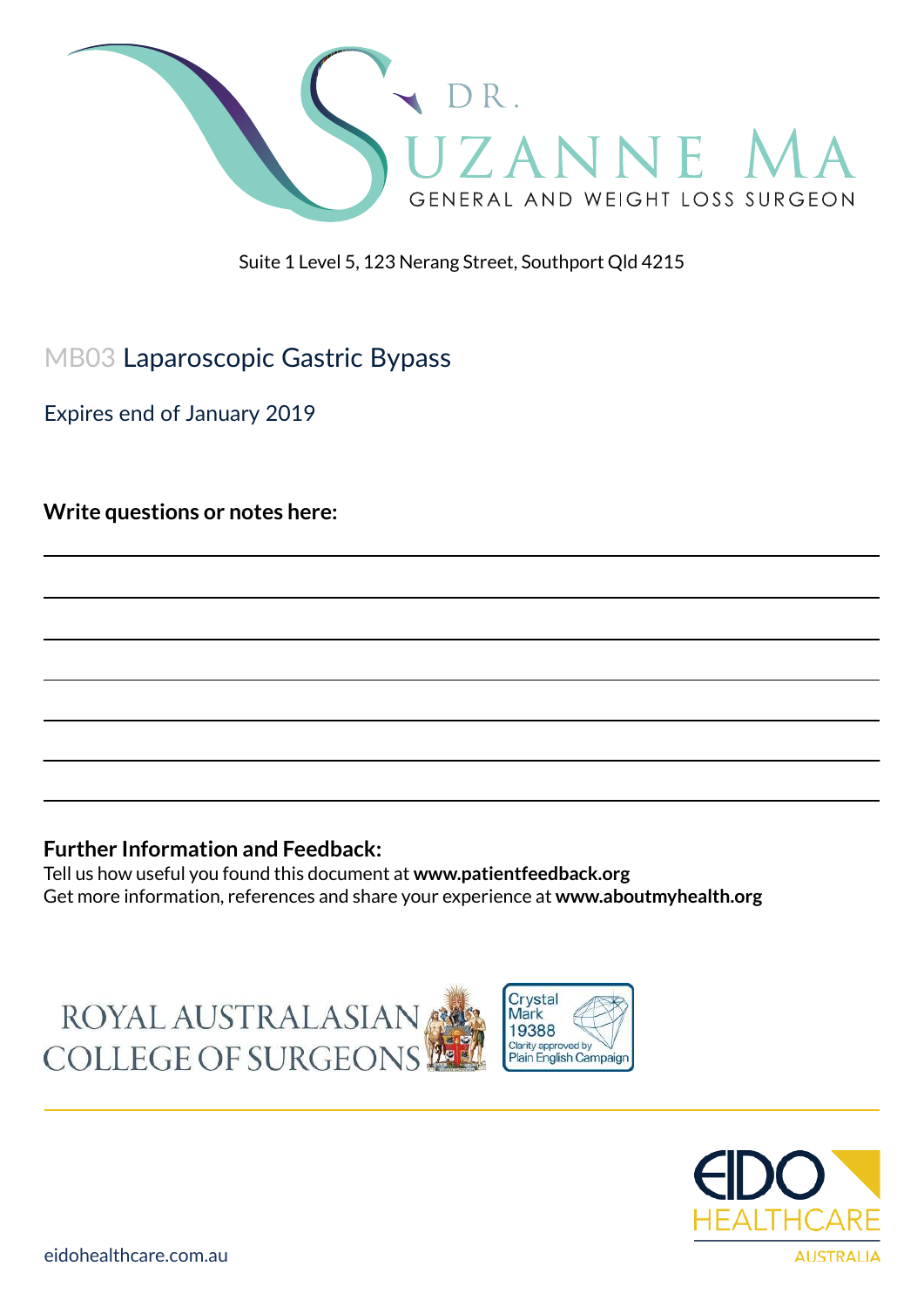

Suite 1 Level 5, 123 Nerang Street, Southport Qld 4215

# MB03 Laparoscopic Gastric Bypass

Expires end of January 2019

**Write questions or notes here:**

#### **Further Information and Feedback:**

Tell us how useful you found this document at **www.patientfeedback.org** Get more information, references and share your experience at **www.aboutmyhealth.org**





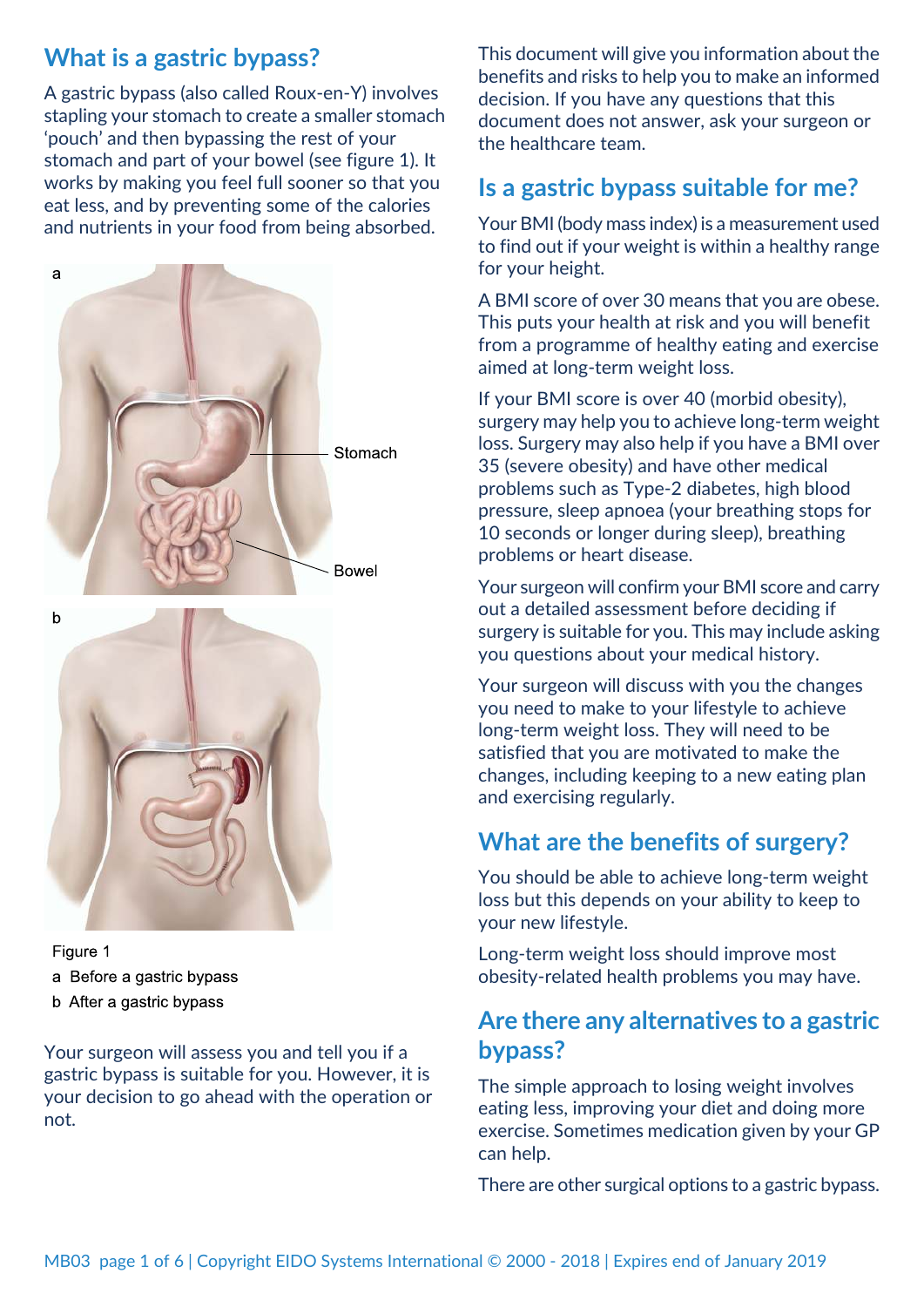# **What is a gastric bypass?**

A gastric bypass (also called Roux-en-Y) involves stapling your stomach to create a smaller stomach 'pouch' and then bypassing the rest of your stomach and part of your bowel (see figure 1). It works by making you feel full sooner so that you eat less, and by preventing some of the calories and nutrients in your food from being absorbed.



Figure 1 a Before a gastric bypass b After a gastric bypass

Your surgeon will assess you and tell you if a gastric bypass is suitable for you. However, it is your decision to go ahead with the operation or not.

This document will give you information about the benefits and risks to help you to make an informed decision. If you have any questions that this document does not answer, ask your surgeon or the healthcare team.

## **Is a gastric bypass suitable for me?**

Your BMI (body mass index) is a measurement used to find out if your weight is within a healthy range for your height.

A BMI score of over 30 means that you are obese. This puts your health at risk and you will benefit from a programme of healthy eating and exercise aimed at long-term weight loss.

If your BMI score is over 40 (morbid obesity), surgery may help you to achieve long-term weight loss. Surgery may also help if you have a BMI over 35 (severe obesity) and have other medical problems such as Type-2 diabetes, high blood pressure, sleep apnoea (your breathing stops for 10 seconds or longer during sleep), breathing problems or heart disease.

Your surgeon will confirm your BMI score and carry out a detailed assessment before deciding if surgery is suitable for you. This may include asking you questions about your medical history.

Your surgeon will discuss with you the changes you need to make to your lifestyle to achieve long-term weight loss. They will need to be satisfied that you are motivated to make the changes, including keeping to a new eating plan and exercising regularly.

# **What are the benefits of surgery?**

You should be able to achieve long-term weight loss but this depends on your ability to keep to your new lifestyle.

Long-term weight loss should improve most obesity-related health problems you may have.

### **Are there any alternatives to a gastric bypass?**

The simple approach to losing weight involves eating less, improving your diet and doing more exercise. Sometimes medication given by your GP can help.

There are other surgical options to a gastric bypass.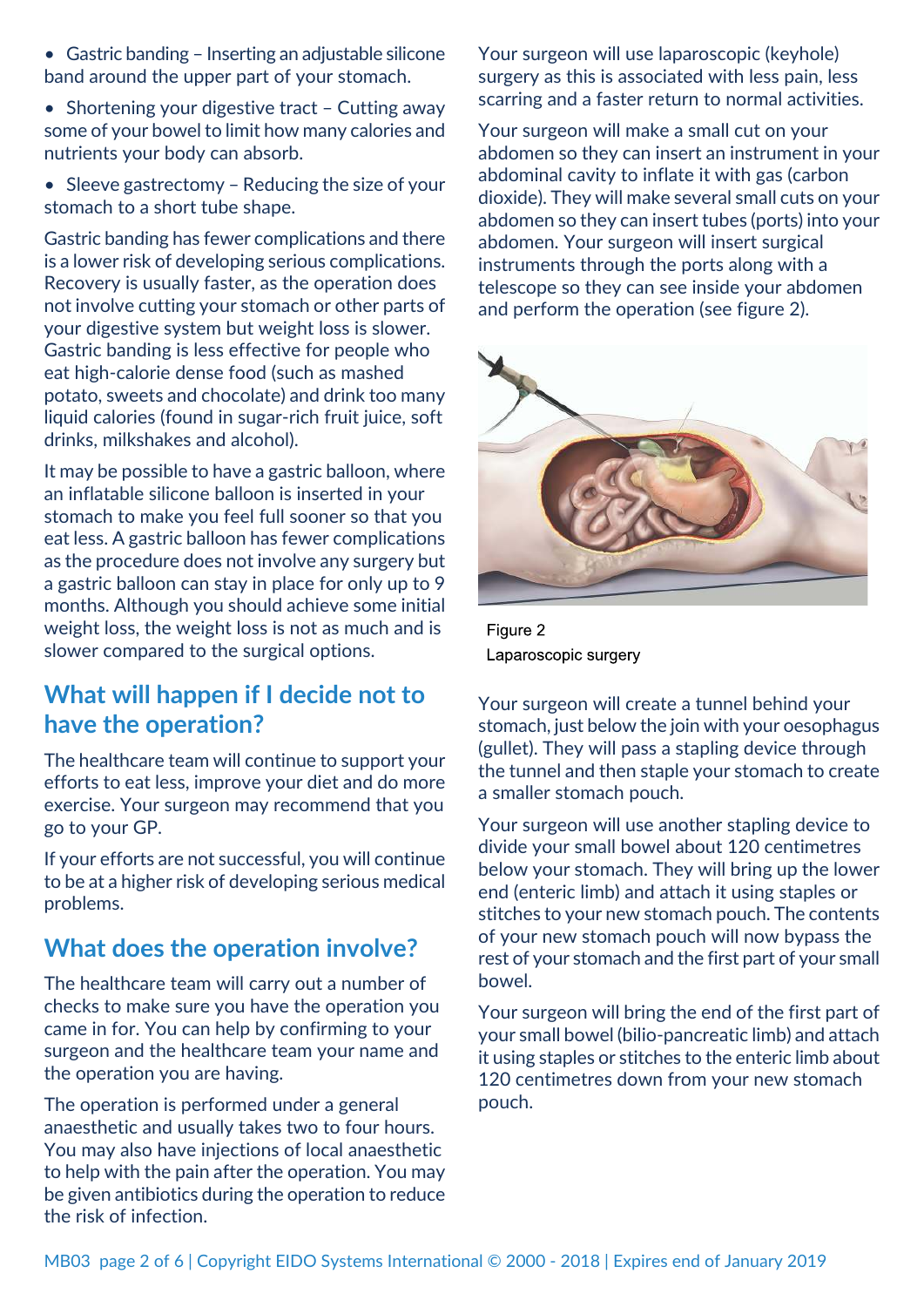- Gastric banding Inserting an adjustable silicone band around the upper part of your stomach.
- Shortening your digestive tract Cutting away some of your bowel to limit how many calories and nutrients your body can absorb.
- Sleeve gastrectomy Reducing the size of your stomach to a short tube shape.

Gastric banding has fewer complications and there is a lower risk of developing serious complications. Recovery is usually faster, as the operation does not involve cutting your stomach or other parts of your digestive system but weight loss is slower. Gastric banding is less effective for people who eat high-calorie dense food (such as mashed potato, sweets and chocolate) and drink too many liquid calories (found in sugar-rich fruit juice, soft drinks, milkshakes and alcohol).

It may be possible to have a gastric balloon, where an inflatable silicone balloon is inserted in your stomach to make you feel full sooner so that you eat less. A gastric balloon has fewer complications as the procedure does not involve any surgery but a gastric balloon can stay in place for only up to 9 months. Although you should achieve some initial weight loss, the weight loss is not as much and is slower compared to the surgical options.

### **What will happen if I decide not to have the operation?**

The healthcare team will continue to support your efforts to eat less, improve your diet and do more exercise. Your surgeon may recommend that you go to your GP.

If your efforts are not successful, you will continue to be at a higher risk of developing serious medical problems.

### **What does the operation involve?**

The healthcare team will carry out a number of checks to make sure you have the operation you came in for. You can help by confirming to your surgeon and the healthcare team your name and the operation you are having.

The operation is performed under a general anaesthetic and usually takes two to four hours. You may also have injections of local anaesthetic to help with the pain after the operation. You may be given antibiotics during the operation to reduce the risk of infection.

Your surgeon will use laparoscopic (keyhole) surgery as this is associated with less pain, less scarring and a faster return to normal activities.

Your surgeon will make a small cut on your abdomen so they can insert an instrument in your abdominal cavity to inflate it with gas (carbon dioxide). They will make several small cuts on your abdomen so they can insert tubes (ports) into your abdomen. Your surgeon will insert surgical instruments through the ports along with a telescope so they can see inside your abdomen and perform the operation (see figure 2).



Figure 2 Laparoscopic surgery

Your surgeon will create a tunnel behind your stomach, just below the join with your oesophagus (gullet). They will pass a stapling device through the tunnel and then staple your stomach to create a smaller stomach pouch.

Your surgeon will use another stapling device to divide your small bowel about 120 centimetres below your stomach. They will bring up the lower end (enteric limb) and attach it using staples or stitches to your new stomach pouch. The contents of your new stomach pouch will now bypass the rest of your stomach and the first part of your small bowel.

Your surgeon will bring the end of the first part of your small bowel (bilio-pancreatic limb) and attach it using staples or stitches to the enteric limb about 120 centimetres down from your new stomach pouch.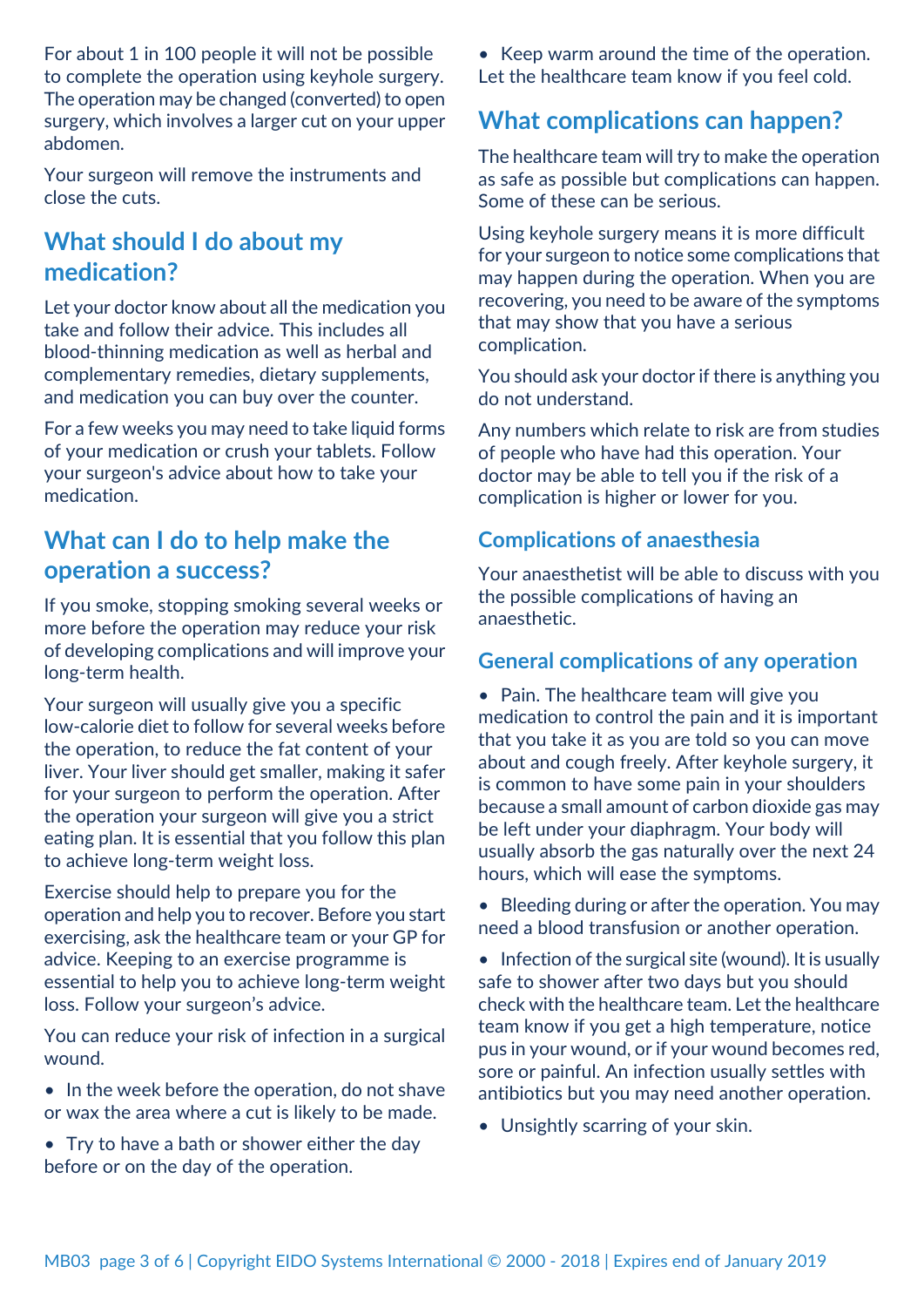For about 1 in 100 people it will not be possible to complete the operation using keyhole surgery. The operation may be changed (converted) to open surgery, which involves a larger cut on your upper abdomen.

Your surgeon will remove the instruments and close the cuts.

## **What should I do about my medication?**

Let your doctor know about all the medication you take and follow their advice. This includes all blood-thinning medication as well as herbal and complementary remedies, dietary supplements, and medication you can buy over the counter.

For a few weeks you may need to take liquid forms of your medication or crush your tablets. Follow your surgeon's advice about how to take your medication.

### **What can I do to help make the operation a success?**

If you smoke, stopping smoking several weeks or more before the operation may reduce your risk of developing complications and will improve your long-term health.

Your surgeon will usually give you a specific low-calorie diet to follow for several weeks before the operation, to reduce the fat content of your liver. Your liver should get smaller, making it safer for your surgeon to perform the operation. After the operation your surgeon will give you a strict eating plan. It is essential that you follow this plan to achieve long-term weight loss.

Exercise should help to prepare you for the operation and help you to recover. Before you start exercising, ask the healthcare team or your GP for advice. Keeping to an exercise programme is essential to help you to achieve long-term weight loss. Follow your surgeon's advice.

You can reduce your risk of infection in a surgical wound.

- In the week before the operation, do not shave or wax the area where a cut is likely to be made.
- Try to have a bath or shower either the day before or on the day of the operation.

• Keep warm around the time of the operation. Let the healthcare team know if you feel cold.

### **What complications can happen?**

The healthcare team will try to make the operation as safe as possible but complications can happen. Some of these can be serious.

Using keyhole surgery means it is more difficult for your surgeon to notice some complications that may happen during the operation. When you are recovering, you need to be aware of the symptoms that may show that you have a serious complication.

You should ask your doctor if there is anything you do not understand.

Any numbers which relate to risk are from studies of people who have had this operation. Your doctor may be able to tell you if the risk of a complication is higher or lower for you.

### **Complications of anaesthesia**

Your anaesthetist will be able to discuss with you the possible complications of having an anaesthetic.

#### **General complications of any operation**

• Pain. The healthcare team will give you medication to control the pain and it is important that you take it as you are told so you can move about and cough freely. After keyhole surgery, it is common to have some pain in your shoulders because a small amount of carbon dioxide gas may be left under your diaphragm. Your body will usually absorb the gas naturally over the next 24 hours, which will ease the symptoms.

• Bleeding during or after the operation. You may need a blood transfusion or another operation.

• Infection of the surgical site (wound). It is usually safe to shower after two days but you should check with the healthcare team. Let the healthcare team know if you get a high temperature, notice pus in your wound, or if your wound becomes red, sore or painful. An infection usually settles with antibiotics but you may need another operation.

• Unsightly scarring of your skin.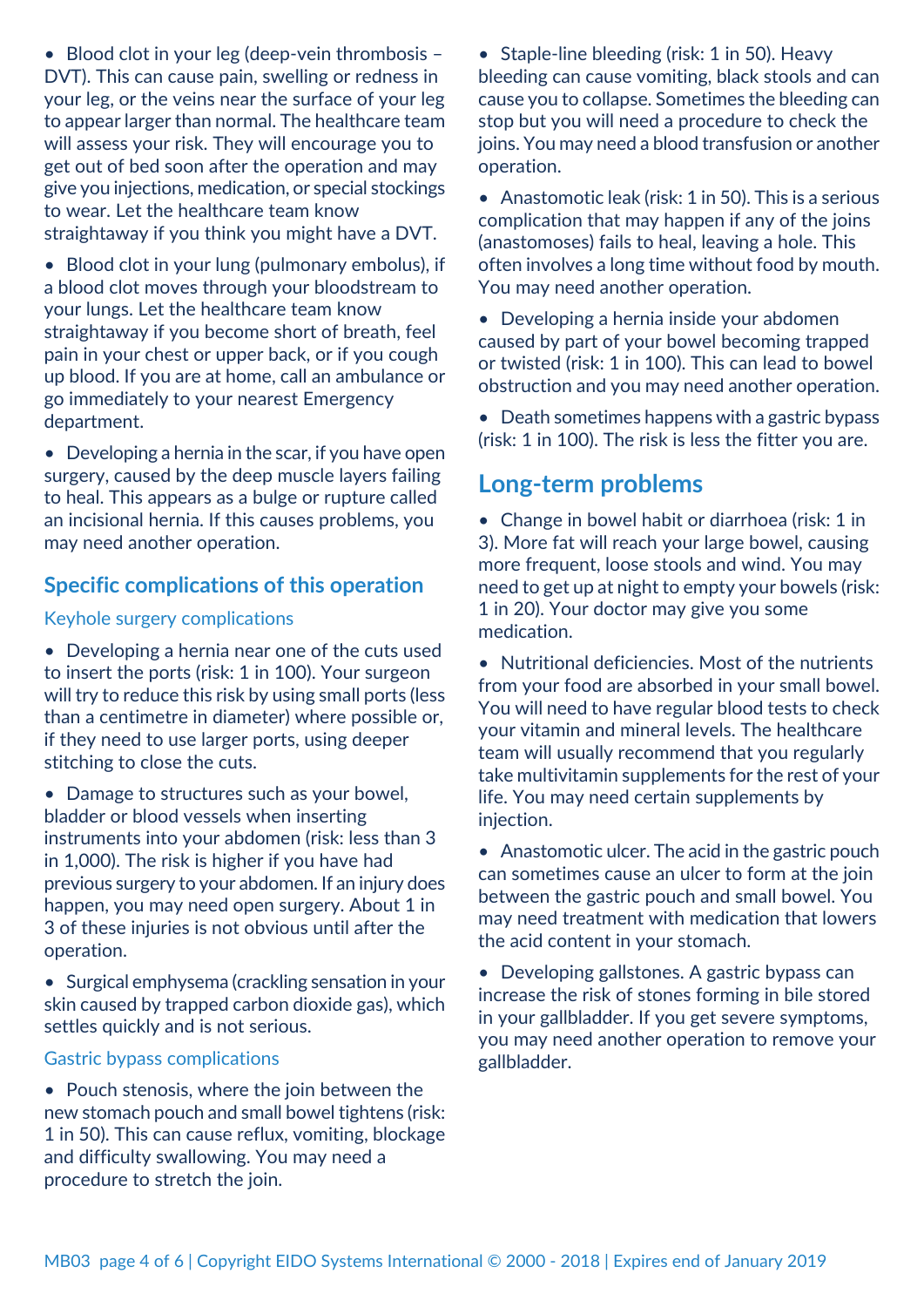• Blood clot in your leg (deep-vein thrombosis -DVT). This can cause pain, swelling or redness in your leg, or the veins near the surface of your leg to appear larger than normal. The healthcare team will assess your risk. They will encourage you to get out of bed soon after the operation and may give you injections, medication, or special stockings to wear. Let the healthcare team know straightaway if you think you might have a DVT.

• Blood clot in your lung (pulmonary embolus), if a blood clot moves through your bloodstream to your lungs. Let the healthcare team know straightaway if you become short of breath, feel pain in your chest or upper back, or if you cough up blood. If you are at home, call an ambulance or go immediately to your nearest Emergency department.

• Developing a hernia in the scar, if you have open surgery, caused by the deep muscle layers failing to heal. This appears as a bulge or rupture called an incisional hernia. If this causes problems, you may need another operation.

#### **Specific complications of this operation**

#### Keyhole surgery complications

• Developing a hernia near one of the cuts used to insert the ports (risk: 1 in 100). Your surgeon will try to reduce this risk by using small ports (less than a centimetre in diameter) where possible or, if they need to use larger ports, using deeper stitching to close the cuts.

• Damage to structures such as your bowel, bladder or blood vessels when inserting instruments into your abdomen (risk: less than 3 in 1,000). The risk is higher if you have had previous surgery to your abdomen. If an injury does happen, you may need open surgery. About 1 in 3 of these injuries is not obvious until after the operation.

• Surgical emphysema (crackling sensation in your skin caused by trapped carbon dioxide gas), which settles quickly and is not serious.

#### Gastric bypass complications

• Pouch stenosis, where the join between the new stomach pouch and small bowel tightens (risk: 1 in 50). This can cause reflux, vomiting, blockage and difficulty swallowing. You may need a procedure to stretch the join.

• Staple-line bleeding (risk: 1 in 50). Heavy bleeding can cause vomiting, black stools and can cause you to collapse. Sometimes the bleeding can stop but you will need a procedure to check the joins. You may need a blood transfusion or another operation.

• Anastomotic leak (risk: 1 in 50). This is a serious complication that may happen if any of the joins (anastomoses) fails to heal, leaving a hole. This often involves a long time without food by mouth. You may need another operation.

• Developing a hernia inside your abdomen caused by part of your bowel becoming trapped or twisted (risk: 1 in 100). This can lead to bowel obstruction and you may need another operation.

• Death sometimes happens with a gastric bypass (risk: 1 in 100). The risk is less the fitter you are.

### **Long-term problems**

• Change in bowel habit or diarrhoea (risk: 1 in 3). More fat will reach your large bowel, causing more frequent, loose stools and wind. You may need to get up at night to empty your bowels (risk: 1 in 20). Your doctor may give you some medication.

• Nutritional deficiencies. Most of the nutrients from your food are absorbed in your small bowel. You will need to have regular blood tests to check your vitamin and mineral levels. The healthcare team will usually recommend that you regularly take multivitamin supplements for the rest of your life. You may need certain supplements by injection.

• Anastomotic ulcer. The acid in the gastric pouch can sometimes cause an ulcer to form at the join between the gastric pouch and small bowel. You may need treatment with medication that lowers the acid content in your stomach.

• Developing gallstones. A gastric bypass can increase the risk of stones forming in bile stored in your gallbladder. If you get severe symptoms, you may need another operation to remove your gallbladder.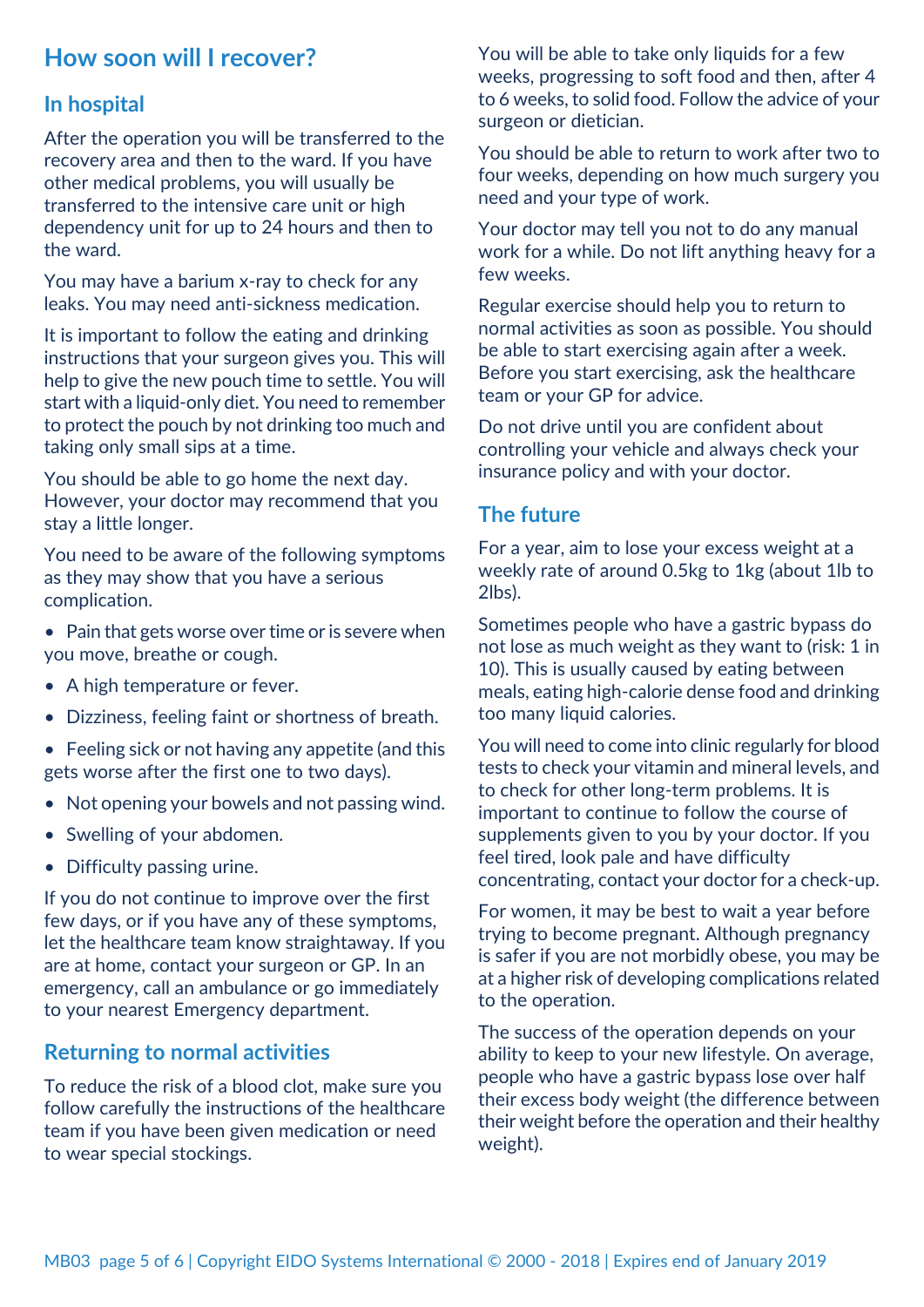## **How soon will I recover?**

#### **In hospital**

After the operation you will be transferred to the recovery area and then to the ward. If you have other medical problems, you will usually be transferred to the intensive care unit or high dependency unit for up to 24 hours and then to the ward.

You may have a barium x-ray to check for any leaks. You may need anti-sickness medication.

It is important to follow the eating and drinking instructions that your surgeon gives you. This will help to give the new pouch time to settle. You will start with a liquid-only diet. You need to remember to protect the pouch by not drinking too much and taking only small sips at a time.

You should be able to go home the next day. However, your doctor may recommend that you stay a little longer.

You need to be aware of the following symptoms as they may show that you have a serious complication.

- Pain that gets worse over time or is severe when you move, breathe or cough.
- A high temperature or fever.
- Dizziness, feeling faint or shortness of breath.
- Feeling sick or not having any appetite (and this gets worse after the first one to two days).
- Not opening your bowels and not passing wind.
- Swelling of your abdomen.
- Difficulty passing urine.

If you do not continue to improve over the first few days, or if you have any of these symptoms, let the healthcare team know straightaway. If you are at home, contact your surgeon or GP. In an emergency, call an ambulance or go immediately to your nearest Emergency department.

#### **Returning to normal activities**

To reduce the risk of a blood clot, make sure you follow carefully the instructions of the healthcare team if you have been given medication or need to wear special stockings.

You will be able to take only liquids for a few weeks, progressing to soft food and then, after 4 to 6 weeks, to solid food. Follow the advice of your surgeon or dietician.

You should be able to return to work after two to four weeks, depending on how much surgery you need and your type of work.

Your doctor may tell you not to do any manual work for a while. Do not lift anything heavy for a few weeks.

Regular exercise should help you to return to normal activities as soon as possible. You should be able to start exercising again after a week. Before you start exercising, ask the healthcare team or your GP for advice.

Do not drive until you are confident about controlling your vehicle and always check your insurance policy and with your doctor.

### **The future**

For a year, aim to lose your excess weight at a weekly rate of around 0.5kg to 1kg (about 1lb to 2lbs).

Sometimes people who have a gastric bypass do not lose as much weight as they want to (risk: 1 in 10). This is usually caused by eating between meals, eating high-calorie dense food and drinking too many liquid calories.

You will need to come into clinic regularly for blood tests to check your vitamin and mineral levels, and to check for other long-term problems. It is important to continue to follow the course of supplements given to you by your doctor. If you feel tired, look pale and have difficulty concentrating, contact your doctor for a check-up.

For women, it may be best to wait a year before trying to become pregnant. Although pregnancy is safer if you are not morbidly obese, you may be at a higher risk of developing complications related to the operation.

The success of the operation depends on your ability to keep to your new lifestyle. On average, people who have a gastric bypass lose over half their excess body weight (the difference between their weight before the operation and their healthy weight).